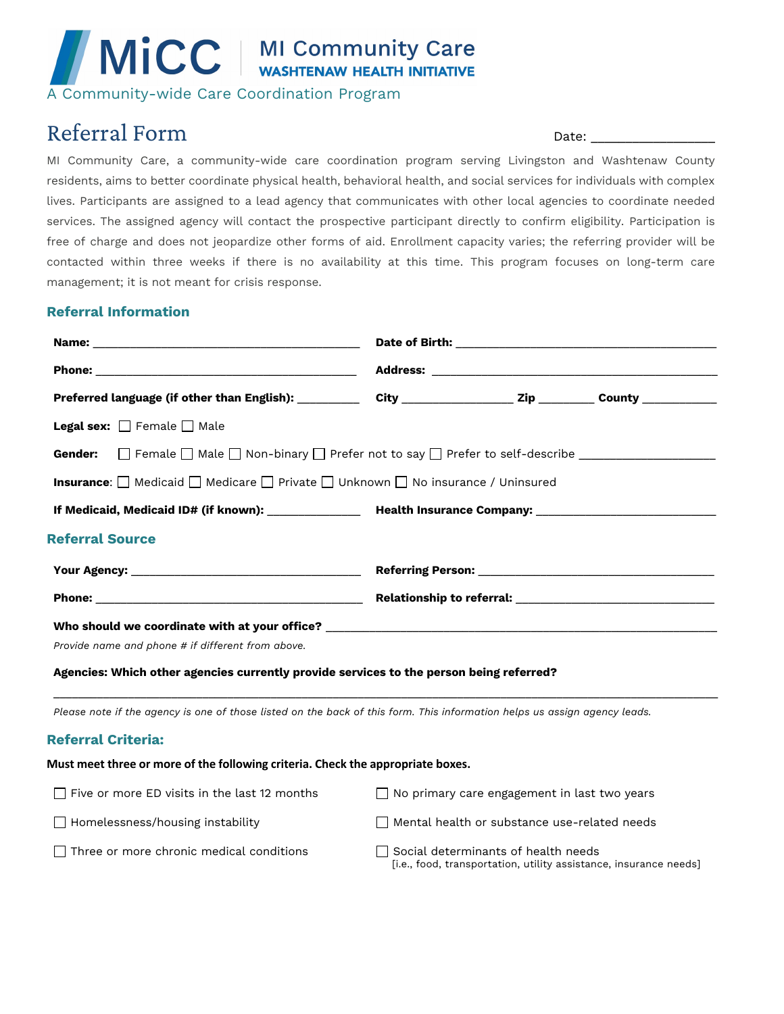# MICC | MI Community Care

A Community-wide Care Coordination Program

# Referral Form Date:

MI Community Care, a community-wide care coordination program serving Livingston and Washtenaw County residents, aims to better coordinate physical health, behavioral health, and social services for individuals with complex lives. Participants are assigned to a lead agency that communicates with other local agencies to coordinate needed services. The assigned agency will contact the prospective participant directly to confirm eligibility. Participation is free of charge and does not jeopardize other forms of aid. Enrollment capacity varies; the referring provider will be contacted within three weeks if there is no availability at this time. This program focuses on long-term care management; it is not meant for crisis response.

## **Referral Information**

| Preferred language (if other than English): ________________ City ______________________________County _____________ |  |  |
|----------------------------------------------------------------------------------------------------------------------|--|--|
| <b>Legal sex:</b> $\Box$ Female $\Box$ Male                                                                          |  |  |
| <b>Gender:</b> $\Box$ Female $\Box$ Male $\Box$ Non-binary $\Box$ Prefer not to say $\Box$ Prefer to self-describe   |  |  |
| <b>Insurance:</b> $\Box$ Medicaid $\Box$ Medicare $\Box$ Private $\Box$ Unknown $\Box$ No insurance / Uninsured      |  |  |
|                                                                                                                      |  |  |
| <b>Referral Source</b>                                                                                               |  |  |
|                                                                                                                      |  |  |
|                                                                                                                      |  |  |
| Who should we coordinate with at your office? __________________________________                                     |  |  |
| Provide name and phone # if different from above.                                                                    |  |  |

**Agencies: Which other agencies currently provide services to the person being referred?** 

*Please note if the agency is one of those listed on the back of this form. This information helps us assign agency leads.*

\_\_\_\_\_\_\_\_\_\_\_\_\_\_\_\_\_\_\_\_\_\_\_\_\_\_\_\_\_\_\_\_\_\_\_\_\_\_\_\_\_\_\_\_\_\_\_\_\_\_\_\_\_\_\_\_\_\_\_\_\_\_\_\_\_\_\_\_\_\_\_\_\_\_\_\_\_\_\_\_\_\_\_\_\_\_\_\_\_\_\_\_\_\_\_\_\_\_\_\_\_\_\_\_\_\_\_

# **Referral Criteria:**

#### **Must meet three or more of the following criteria. Check the appropriate boxes.**

| $\Box$ Five or more ED visits in the last 12 months | $\Box$ No primary care engagement in last two years                                                             |
|-----------------------------------------------------|-----------------------------------------------------------------------------------------------------------------|
| $\Box$ Homelessness/housing instability             | Mental health or substance use-related needs                                                                    |
| $\Box$ Three or more chronic medical conditions     | $\Box$ Social determinants of health needs<br>[i.e., food, transportation, utility assistance, insurance needs] |